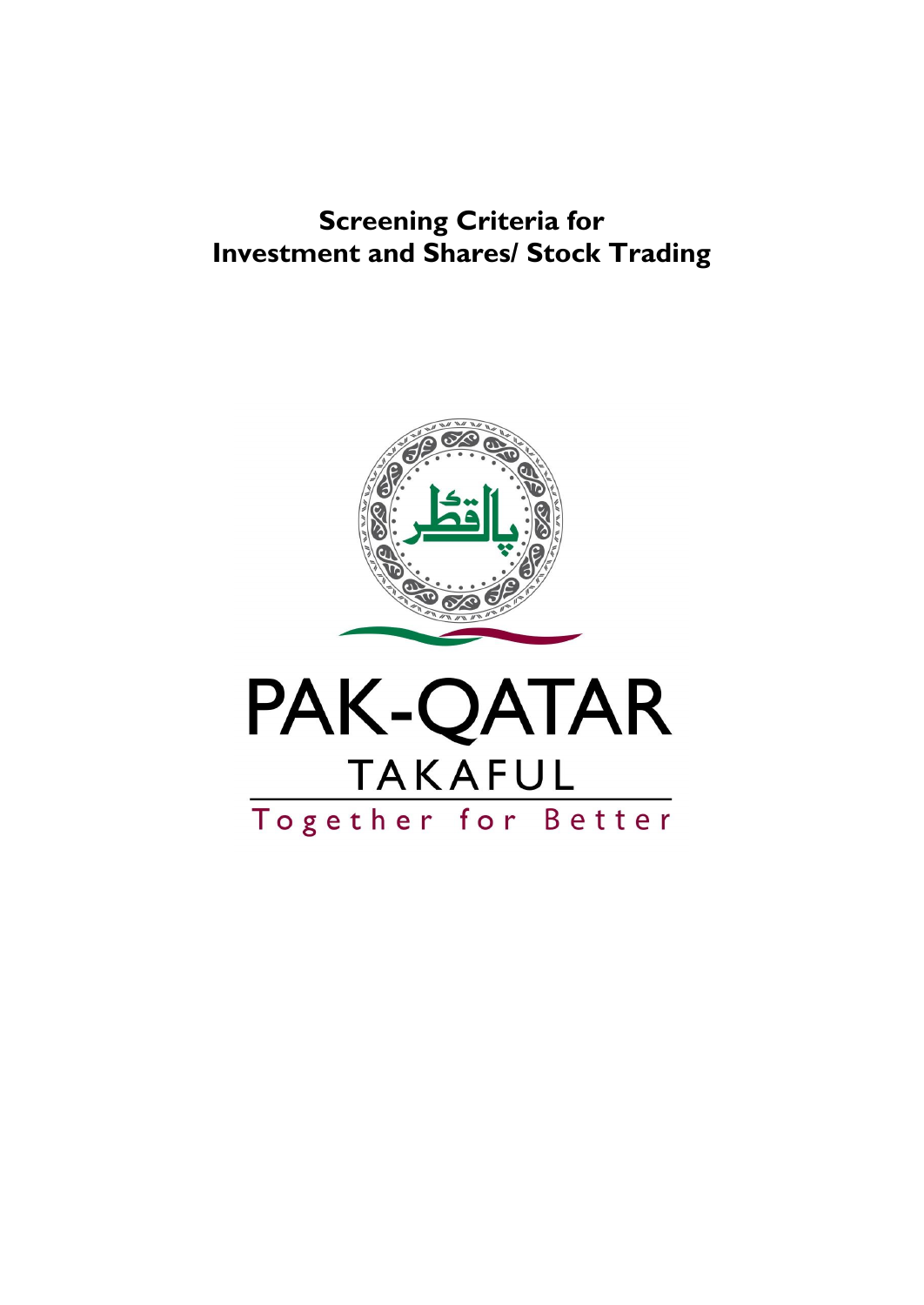# **Screening Criteria for Investment and Shares/ Stock Trading**

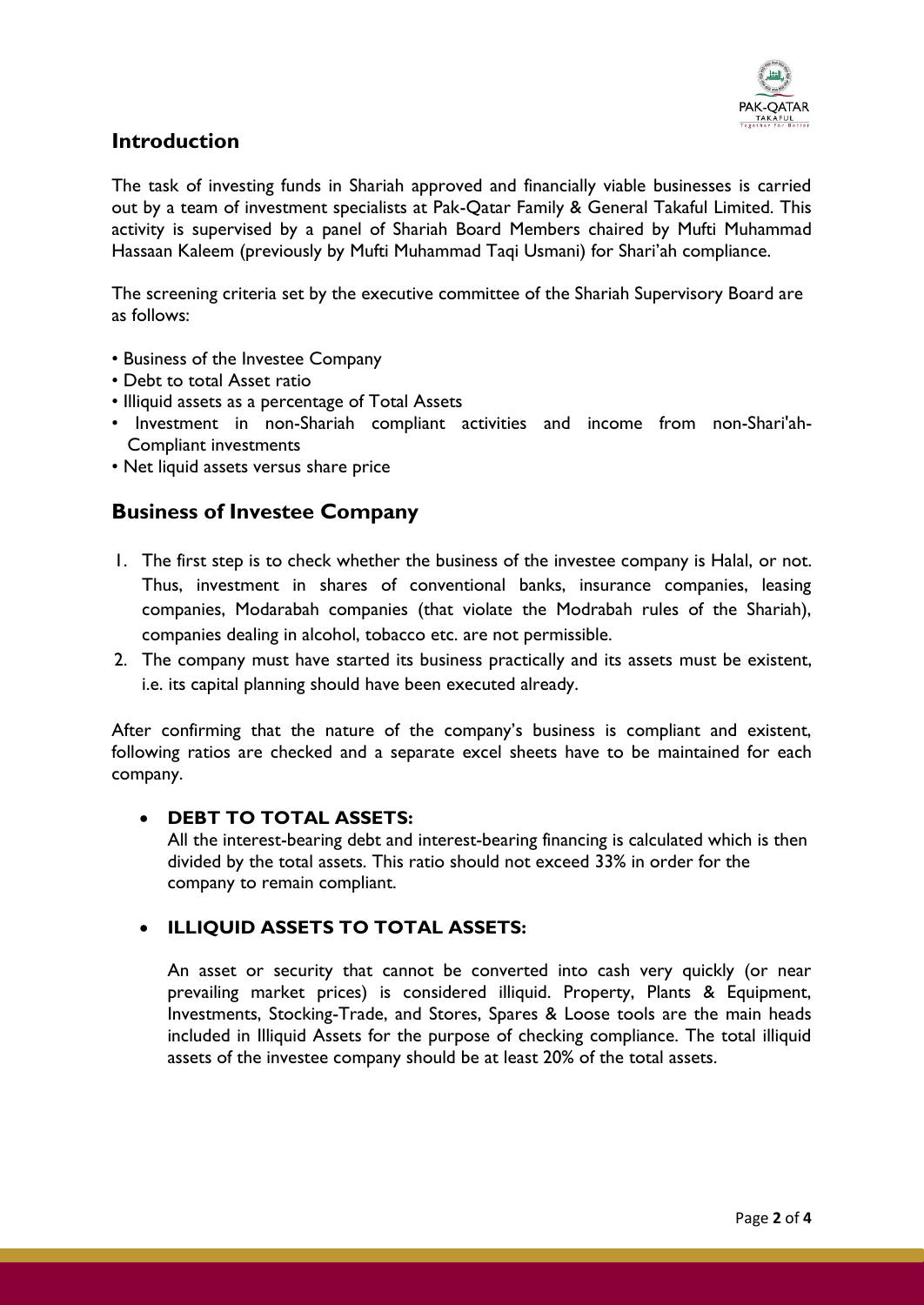

### **Introduction**

The task of investing funds in Shariah approved and financially viable businesses is carried out by a team of investment specialists at Pak-Qatar Family & General Takaful Limited. This activity is supervised by a panel of Shariah Board Members chaired by Mufti Muhammad Hassaan Kaleem (previously by Mufti Muhammad Taqi Usmani) for Shari'ah compliance.

The screening criteria set by the executive committee of the Shariah Supervisory Board are as follows:

- Business of the Investee Company
- Debt to total Asset ratio
- Illiquid assets as a percentage of Total Assets
- Investment in non-Shariah compliant activities and income from non-Shari'ah- Compliant investments
- Net liquid assets versus share price

#### **Business of Investee Company**

- 1. The first step is to check whether the business of the investee company is Halal, or not. Thus, investment in shares of conventional banks, insurance companies, leasing companies, Modarabah companies (that violate the Modrabah rules of the Shariah), companies dealing in alcohol, tobacco etc. are not permissible.
- 2. The company must have started its business practically and its assets must be existent, i.e. its capital planning should have been executed already.

After confirming that the nature of the company's business is compliant and existent, following ratios are checked and a separate excel sheets have to be maintained for each company.

#### **DEBT TO TOTAL ASSETS:**

All the interest-bearing debt and interest-bearing financing is calculated which is then divided by the total assets. This ratio should not exceed 33% in order for the company to remain compliant.

#### **ILLIQUID ASSETS TO TOTAL ASSETS:**

An asset or security that cannot be converted into cash very quickly (or near prevailing market prices) is considered illiquid. Property, Plants & Equipment, Investments, Stocking-Trade, and Stores, Spares & Loose tools are the main heads included in Illiquid Assets for the purpose of checking compliance. The total illiquid assets of the investee company should be at least 20% of the total assets.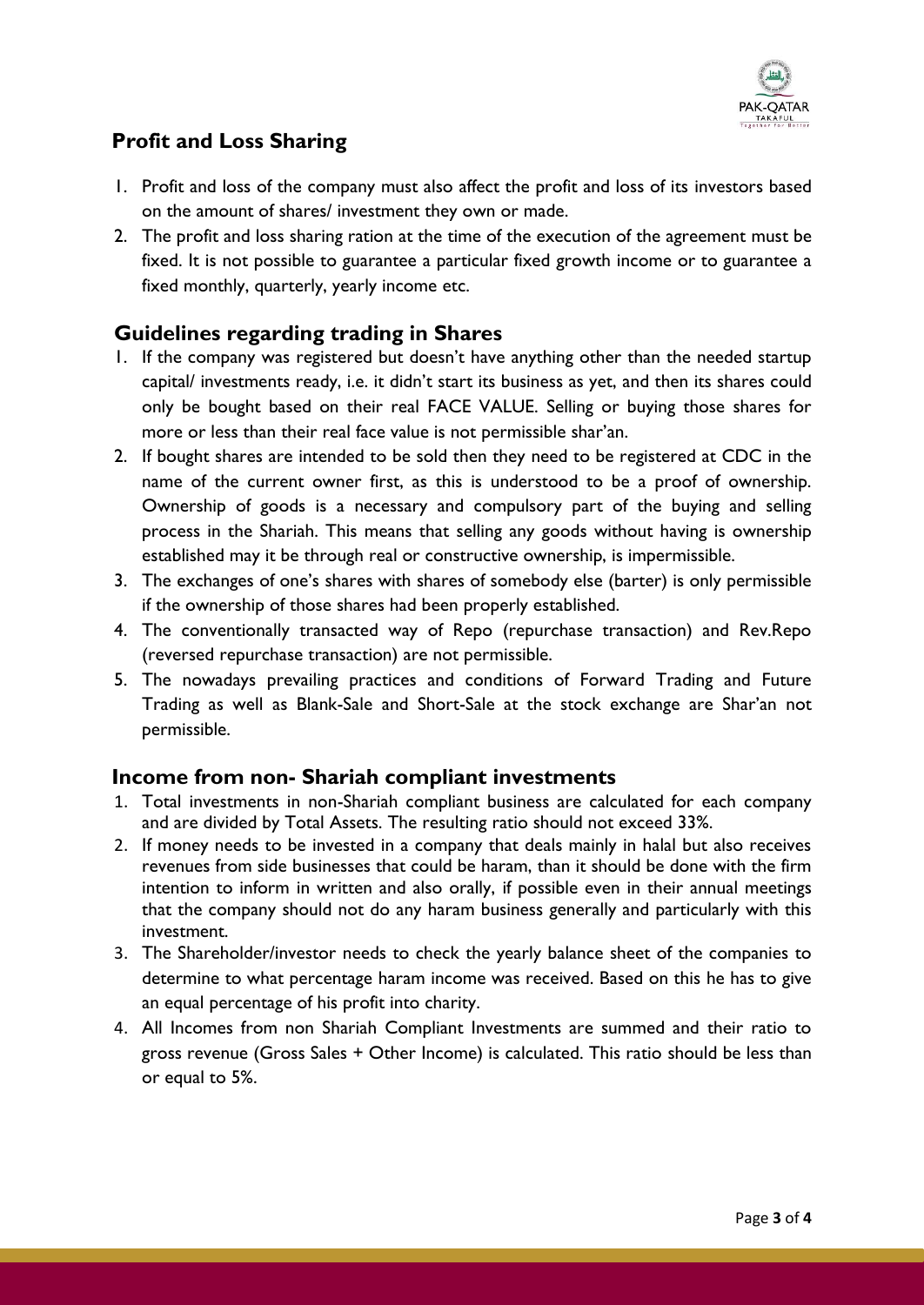

## **Profit and Loss Sharing**

- 1. Profit and loss of the company must also affect the profit and loss of its investors based on the amount of shares/ investment they own or made.
- 2. The profit and loss sharing ration at the time of the execution of the agreement must be fixed. It is not possible to guarantee a particular fixed growth income or to guarantee a fixed monthly, quarterly, yearly income etc.

## **Guidelines regarding trading in Shares**

- 1. If the company was registered but doesn't have anything other than the needed startup capital/ investments ready, i.e. it didn't start its business as yet, and then its shares could only be bought based on their real FACE VALUE. Selling or buying those shares for more or less than their real face value is not permissible shar'an.
- 2. If bought shares are intended to be sold then they need to be registered at CDC in the name of the current owner first, as this is understood to be a proof of ownership. Ownership of goods is a necessary and compulsory part of the buying and selling process in the Shariah. This means that selling any goods without having is ownership established may it be through real or constructive ownership, is impermissible.
- 3. The exchanges of one's shares with shares of somebody else (barter) is only permissible if the ownership of those shares had been properly established.
- 4. The conventionally transacted way of Repo (repurchase transaction) and Rev.Repo (reversed repurchase transaction) are not permissible.
- 5. The nowadays prevailing practices and conditions of Forward Trading and Future Trading as well as Blank-Sale and Short-Sale at the stock exchange are Shar'an not permissible.

#### **Income from non- Shariah compliant investments**

- 1. Total investments in non-Shariah compliant business are calculated for each company and are divided by Total Assets. The resulting ratio should not exceed 33%.
- 2. If money needs to be invested in a company that deals mainly in halal but also receives revenues from side businesses that could be haram, than it should be done with the firm intention to inform in written and also orally, if possible even in their annual meetings that the company should not do any haram business generally and particularly with this investment.
- 3. The Shareholder/investor needs to check the yearly balance sheet of the companies to determine to what percentage haram income was received. Based on this he has to give an equal percentage of his profit into charity.
- 4. All Incomes from non Shariah Compliant Investments are summed and their ratio to gross revenue (Gross Sales + Other Income) is calculated. This ratio should be less than or equal to 5%.